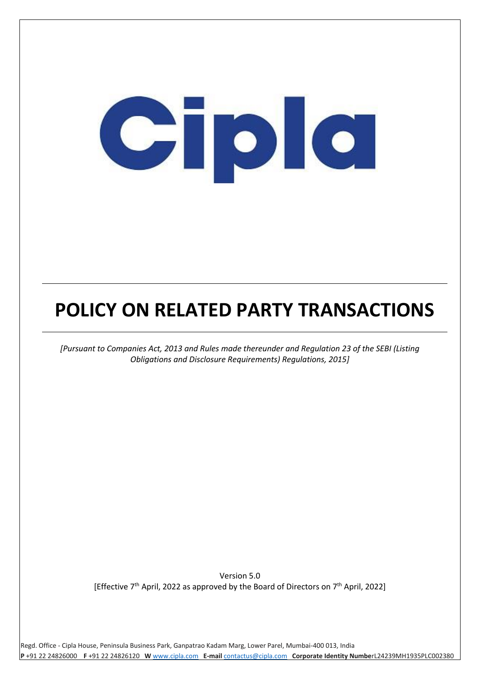# Cipic

## **POLICY ON RELATED PARTY TRANSACTIONS**

*[Pursuant to Companies Act, 2013 and Rules made thereunder and Regulation 23 of the SEBI (Listing Obligations and Disclosure Requirements) Regulations, 2015]*

Version 5.0 [Effective  $7<sup>th</sup>$  April, 2022 as approved by the Board of Directors on  $7<sup>th</sup>$  April, 2022]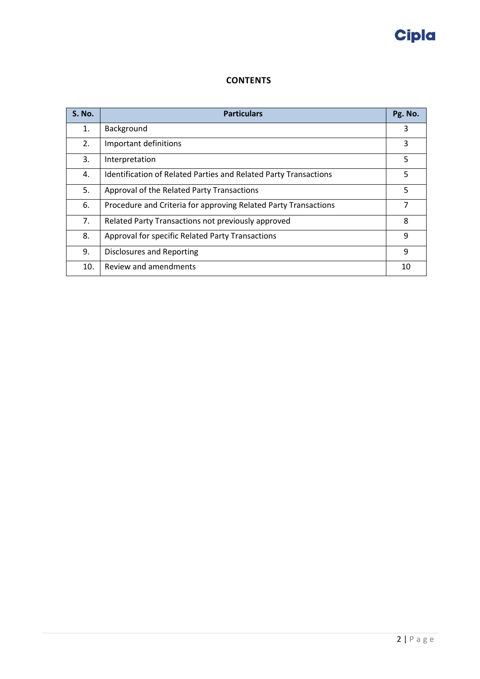

### **CONTENTS**

| <b>S. No.</b> | <b>Particulars</b>                                               | Pg. No. |
|---------------|------------------------------------------------------------------|---------|
| 1.            | Background                                                       | 3       |
| 2.            | Important definitions                                            | 3       |
| 3.            | Interpretation                                                   | 5       |
| 4.            | Identification of Related Parties and Related Party Transactions | 5       |
| 5.            | Approval of the Related Party Transactions                       | 5       |
| 6.            | Procedure and Criteria for approving Related Party Transactions  | 7       |
| 7.            | Related Party Transactions not previously approved               | 8       |
| 8.            | Approval for specific Related Party Transactions                 | 9       |
| 9.            | Disclosures and Reporting                                        | 9       |
| 10.           | Review and amendments                                            | 10      |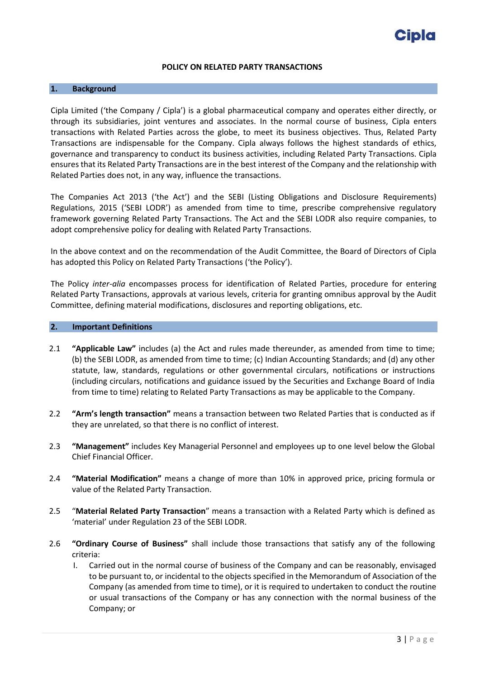#### **POLICY ON RELATED PARTY TRANSACTIONS**

#### <span id="page-2-0"></span>**1. Background**

Cipla Limited ('the Company / Cipla') is a global pharmaceutical company and operates either directly, or through its subsidiaries, joint ventures and associates. In the normal course of business, Cipla enters transactions with Related Parties across the globe, to meet its business objectives. Thus, Related Party Transactions are indispensable for the Company. Cipla always follows the highest standards of ethics, governance and transparency to conduct its business activities, including Related Party Transactions. Cipla ensures that its Related Party Transactions are in the best interest of the Company and the relationship with Related Parties does not, in any way, influence the transactions.

The Companies Act 2013 ('the Act') and the SEBI (Listing Obligations and Disclosure Requirements) Regulations, 2015 ('SEBI LODR') as amended from time to time, prescribe comprehensive regulatory framework governing Related Party Transactions. The Act and the SEBI LODR also require companies, to adopt comprehensive policy for dealing with Related Party Transactions.

In the above context and on the recommendation of the Audit Committee, the Board of Directors of Cipla has adopted this Policy on Related Party Transactions ('the Policy').

The Policy *inter-alia* encompasses process for identification of Related Parties, procedure for entering Related Party Transactions, approvals at various levels, criteria for granting omnibus approval by the Audit Committee, defining material modifications, disclosures and reporting obligations, etc.

#### <span id="page-2-1"></span>**2. Important Definitions**

- 2.1 **"Applicable Law"** includes (a) the Act and rules made thereunder, as amended from time to time; (b) the SEBI LODR, as amended from time to time; (c) Indian Accounting Standards; and (d) any other statute, law, standards, regulations or other governmental circulars, notifications or instructions (including circulars, notifications and guidance issued by the Securities and Exchange Board of India from time to time) relating to Related Party Transactions as may be applicable to the Company.
- 2.2 **"Arm's length transaction"** means a transaction between two Related Parties that is conducted as if they are unrelated, so that there is no conflict of interest.
- 2.3 **"Management"** includes Key Managerial Personnel and employees up to one level below the Global Chief Financial Officer.
- 2.4 **"Material Modification"** means a change of more than 10% in approved price, pricing formula or value of the Related Party Transaction.
- 2.5 "**Material Related Party Transaction**" means a transaction with a Related Party which is defined as 'material' under Regulation 23 of the SEBI LODR.
- 2.6 **"Ordinary Course of Business"** shall include those transactions that satisfy any of the following criteria:
	- I. Carried out in the normal course of business of the Company and can be reasonably, envisaged to be pursuant to, or incidental to the objects specified in the Memorandum of Association of the Company (as amended from time to time), or it is required to undertaken to conduct the routine or usual transactions of the Company or has any connection with the normal business of the Company; or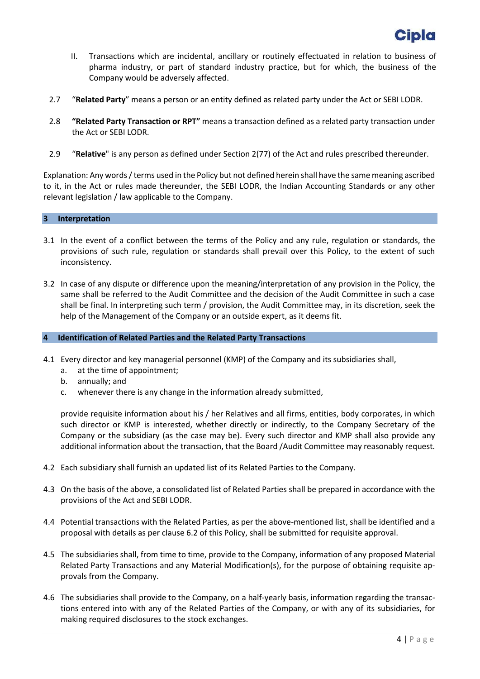

- II. Transactions which are incidental, ancillary or routinely effectuated in relation to business of pharma industry, or part of standard industry practice, but for which, the business of the Company would be adversely affected.
- 2.7 "**Related Party**" means a person or an entity defined as related party under the Act or SEBI LODR.
- 2.8 **"Related Party Transaction or RPT"** means a transaction defined as a related party transaction under the Act or SEBI LODR.
- 2.9 "**Relative**" is any person as defined under Section 2(77) of the Act and rules prescribed thereunder.

Explanation: Any words/ terms used in the Policy but not defined herein shall have the same meaning ascribed to it, in the Act or rules made thereunder, the SEBI LODR, the Indian Accounting Standards or any other relevant legislation / law applicable to the Company.

#### <span id="page-3-0"></span>**3 Interpretation**

- 3.1 In the event of a conflict between the terms of the Policy and any rule, regulation or standards, the provisions of such rule, regulation or standards shall prevail over this Policy, to the extent of such inconsistency.
- 3.2 In case of any dispute or difference upon the meaning/interpretation of any provision in the Policy, the same shall be referred to the Audit Committee and the decision of the Audit Committee in such a case shall be final. In interpreting such term / provision, the Audit Committee may, in its discretion, seek the help of the Management of the Company or an outside expert, as it deems fit.

#### <span id="page-3-1"></span>**4 Identification of Related Parties and the Related Party Transactions**

- 4.1 Every director and key managerial personnel (KMP) of the Company and its subsidiaries shall,
	- a. at the time of appointment;
	- b. annually; and
	- c. whenever there is any change in the information already submitted,

provide requisite information about his / her Relatives and all firms, entities, body corporates, in which such director or KMP is interested, whether directly or indirectly, to the Company Secretary of the Company or the subsidiary (as the case may be). Every such director and KMP shall also provide any additional information about the transaction, that the Board /Audit Committee may reasonably request.

- 4.2 Each subsidiary shall furnish an updated list of its Related Parties to the Company.
- 4.3 On the basis of the above, a consolidated list of Related Parties shall be prepared in accordance with the provisions of the Act and SEBI LODR.
- 4.4 Potential transactions with the Related Parties, as per the above-mentioned list, shall be identified and a proposal with details as per clause 6.2 of this Policy, shall be submitted for requisite approval.
- 4.5 The subsidiaries shall, from time to time, provide to the Company, information of any proposed Material Related Party Transactions and any Material Modification(s), for the purpose of obtaining requisite approvals from the Company.
- 4.6 The subsidiaries shall provide to the Company, on a half-yearly basis, information regarding the transactions entered into with any of the Related Parties of the Company, or with any of its subsidiaries, for making required disclosures to the stock exchanges.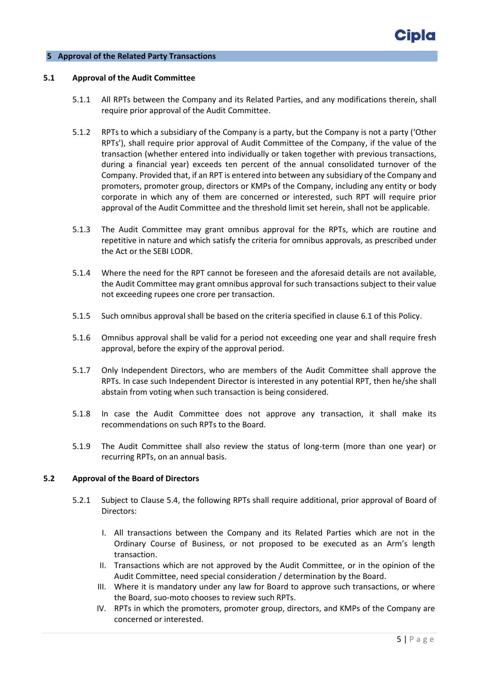#### <span id="page-4-0"></span>**5 Approval of the Related Party Transactions**

#### **5.1 Approval of the Audit Committee**

- 5.1.1 All RPTs between the Company and its Related Parties, and any modifications therein, shall require prior approval of the Audit Committee.
- 5.1.2 RPTs to which a subsidiary of the Company is a party, but the Company is not a party ('Other RPTs'), shall require prior approval of Audit Committee of the Company, if the value of the transaction (whether entered into individually or taken together with previous transactions, during a financial year) exceeds ten percent of the annual consolidated turnover of the Company. Provided that, if an RPT is entered into between any subsidiary of the Company and promoters, promoter group, directors or KMPs of the Company, including any entity or body corporate in which any of them are concerned or interested, such RPT will require prior approval of the Audit Committee and the threshold limit set herein, shall not be applicable.
- 5.1.3 The Audit Committee may grant omnibus approval for the RPTs, which are routine and repetitive in nature and which satisfy the criteria for omnibus approvals, as prescribed under the Act or the SEBI LODR.
- 5.1.4 Where the need for the RPT cannot be foreseen and the aforesaid details are not available, the Audit Committee may grant omnibus approval for such transactions subject to their value not exceeding rupees one crore per transaction.
- 5.1.5 Such omnibus approval shall be based on the criteria specified in clause 6.1 of this Policy.
- 5.1.6 Omnibus approval shall be valid for a period not exceeding one year and shall require fresh approval, before the expiry of the approval period.
- 5.1.7 Only Independent Directors, who are members of the Audit Committee shall approve the RPTs. In case such Independent Director is interested in any potential RPT, then he/she shall abstain from voting when such transaction is being considered.
- 5.1.8 In case the Audit Committee does not approve any transaction, it shall make its recommendations on such RPTs to the Board.
- 5.1.9 The Audit Committee shall also review the status of long-term (more than one year) or recurring RPTs, on an annual basis.

#### **5.2 Approval of the Board of Directors**

- 5.2.1 Subject to Clause 5.4, the following RPTs shall require additional, prior approval of Board of Directors:
	- I. All transactions between the Company and its Related Parties which are not in the Ordinary Course of Business, or not proposed to be executed as an Arm's length transaction.
	- II. Transactions which are not approved by the Audit Committee, or in the opinion of the Audit Committee, need special consideration / determination by the Board.
	- III. Where it is mandatory under any law for Board to approve such transactions, or where the Board, suo-moto chooses to review such RPTs.
	- IV. RPTs in which the promoters, promoter group, directors, and KMPs of the Company are concerned or interested.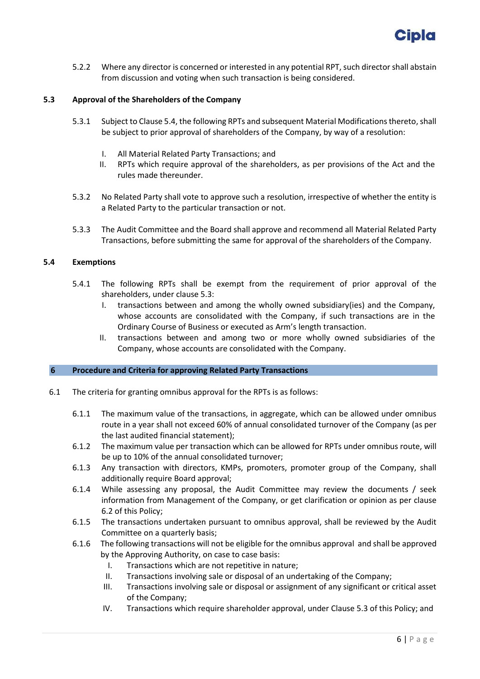

5.2.2 Where any director is concerned or interested in any potential RPT, such director shall abstain from discussion and voting when such transaction is being considered.

#### **5.3 Approval of the Shareholders of the Company**

- 5.3.1 Subject to Clause 5.4, the following RPTs and subsequent Material Modifications thereto,shall be subject to prior approval of shareholders of the Company, by way of a resolution:
	- I. All Material Related Party Transactions; and
	- II. RPTs which require approval of the shareholders, as per provisions of the Act and the rules made thereunder.
- 5.3.2 No Related Party shall vote to approve such a resolution, irrespective of whether the entity is a Related Party to the particular transaction or not.
- 5.3.3 The Audit Committee and the Board shall approve and recommend all Material Related Party Transactions, before submitting the same for approval of the shareholders of the Company.

#### **5.4 Exemptions**

- 5.4.1 The following RPTs shall be exempt from the requirement of prior approval of the shareholders, under clause 5.3:
	- I. transactions between and among the wholly owned subsidiary(ies) and the Company, whose accounts are consolidated with the Company, if such transactions are in the Ordinary Course of Business or executed as Arm's length transaction.
	- II. transactions between and among two or more wholly owned subsidiaries of the Company, whose accounts are consolidated with the Company.

#### <span id="page-5-0"></span>**6 Procedure and Criteria for approving Related Party Transactions**

- 6.1 The criteria for granting omnibus approval for the RPTs is as follows:
	- 6.1.1 The maximum value of the transactions, in aggregate, which can be allowed under omnibus route in a year shall not exceed 60% of annual consolidated turnover of the Company (as per the last audited financial statement);
	- 6.1.2 The maximum value per transaction which can be allowed for RPTs under omnibus route, will be up to 10% of the annual consolidated turnover;
	- 6.1.3 Any transaction with directors, KMPs, promoters, promoter group of the Company, shall additionally require Board approval;
	- 6.1.4 While assessing any proposal, the Audit Committee may review the documents / seek information from Management of the Company, or get clarification or opinion as per clause 6.2 of this Policy;
	- 6.1.5 The transactions undertaken pursuant to omnibus approval, shall be reviewed by the Audit Committee on a quarterly basis;
	- 6.1.6 The following transactions will not be eligible for the omnibus approval and shall be approved by the Approving Authority, on case to case basis:
		- I. Transactions which are not repetitive in nature;
		- II. Transactions involving sale or disposal of an undertaking of the Company;
		- III. Transactions involving sale or disposal or assignment of any significant or critical asset of the Company;
		- IV. Transactions which require shareholder approval, under Clause 5.3 of this Policy; and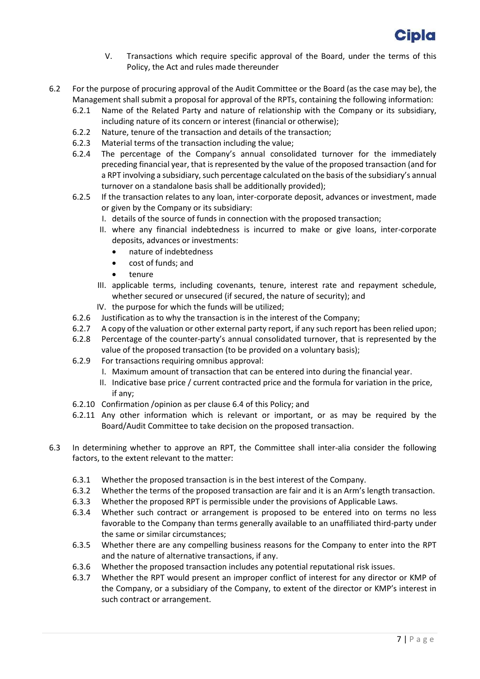

- V. Transactions which require specific approval of the Board, under the terms of this Policy, the Act and rules made thereunder
- 6.2 For the purpose of procuring approval of the Audit Committee or the Board (as the case may be), the Management shall submit a proposal for approval of the RPTs, containing the following information:
	- 6.2.1 Name of the Related Party and nature of relationship with the Company or its subsidiary, including nature of its concern or interest (financial or otherwise);
	- 6.2.2 Nature, tenure of the transaction and details of the transaction;
	- 6.2.3 Material terms of the transaction including the value;
	- 6.2.4 The percentage of the Company's annual consolidated turnover for the immediately preceding financial year, that is represented by the value of the proposed transaction (and for a RPT involving a subsidiary, such percentage calculated on the basis of the subsidiary's annual turnover on a standalone basis shall be additionally provided);
	- 6.2.5 If the transaction relates to any loan, inter-corporate deposit, advances or investment, made or given by the Company or its subsidiary:
		- I. details of the source of funds in connection with the proposed transaction;
		- II. where any financial indebtedness is incurred to make or give loans, inter-corporate deposits, advances or investments:
			- nature of indebtedness
			- cost of funds; and
			- tenure
		- III. applicable terms, including covenants, tenure, interest rate and repayment schedule, whether secured or unsecured (if secured, the nature of security); and
		- IV. the purpose for which the funds will be utilized;
	- 6.2.6 Justification as to why the transaction is in the interest of the Company;
	- 6.2.7 A copy of the valuation or other external party report, if any such report has been relied upon;
	- 6.2.8 Percentage of the counter-party's annual consolidated turnover, that is represented by the value of the proposed transaction (to be provided on a voluntary basis);
	- 6.2.9 For transactions requiring omnibus approval:
		- I. Maximum amount of transaction that can be entered into during the financial year.
		- II. Indicative base price / current contracted price and the formula for variation in the price, if any;
	- 6.2.10 Confirmation /opinion as per clause 6.4 of this Policy; and
	- 6.2.11 Any other information which is relevant or important, or as may be required by the Board/Audit Committee to take decision on the proposed transaction.
- 6.3 In determining whether to approve an RPT, the Committee shall inter-alia consider the following factors, to the extent relevant to the matter:
	- 6.3.1 Whether the proposed transaction is in the best interest of the Company.
	- 6.3.2 Whether the terms of the proposed transaction are fair and it is an Arm's length transaction.
	- 6.3.3 Whether the proposed RPT is permissible under the provisions of Applicable Laws.
	- 6.3.4 Whether such contract or arrangement is proposed to be entered into on terms no less favorable to the Company than terms generally available to an unaffiliated third-party under the same or similar circumstances;
	- 6.3.5 Whether there are any compelling business reasons for the Company to enter into the RPT and the nature of alternative transactions, if any.
	- 6.3.6 Whether the proposed transaction includes any potential reputational risk issues.
	- 6.3.7 Whether the RPT would present an improper conflict of interest for any director or KMP of the Company, or a subsidiary of the Company, to extent of the director or KMP's interest in such contract or arrangement.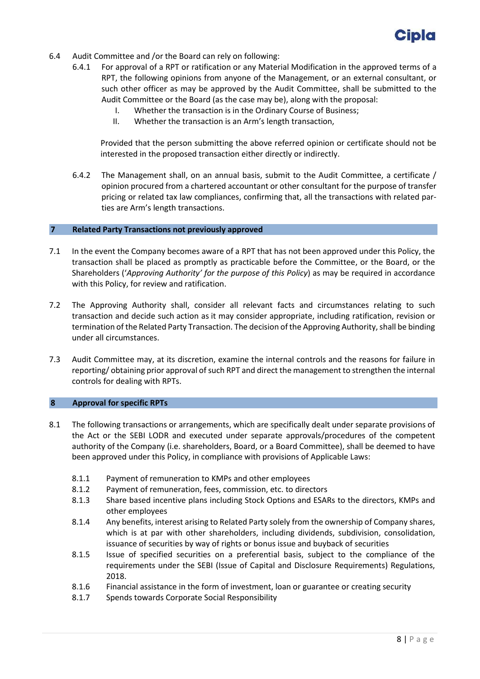

- 6.4 Audit Committee and /or the Board can rely on following:
	- 6.4.1 For approval of a RPT or ratification or any Material Modification in the approved terms of a RPT, the following opinions from anyone of the Management, or an external consultant, or such other officer as may be approved by the Audit Committee, shall be submitted to the Audit Committee or the Board (as the case may be), along with the proposal:
		- I. Whether the transaction is in the Ordinary Course of Business;
		- II. Whether the transaction is an Arm's length transaction,

Provided that the person submitting the above referred opinion or certificate should not be interested in the proposed transaction either directly or indirectly.

6.4.2 The Management shall, on an annual basis, submit to the Audit Committee, a certificate / opinion procured from a chartered accountant or other consultant for the purpose of transfer pricing or related tax law compliances, confirming that, all the transactions with related parties are Arm's length transactions.

#### <span id="page-7-0"></span>**7 Related Party Transactions not previously approved**

- 7.1 In the event the Company becomes aware of a RPT that has not been approved under this Policy, the transaction shall be placed as promptly as practicable before the Committee, or the Board, or the Shareholders ('*Approving Authority' for the purpose of this Policy*) as may be required in accordance with this Policy, for review and ratification.
- 7.2 The Approving Authority shall, consider all relevant facts and circumstances relating to such transaction and decide such action as it may consider appropriate, including ratification, revision or termination of the Related Party Transaction. The decision of the Approving Authority, shall be binding under all circumstances.
- 7.3 Audit Committee may, at its discretion, examine the internal controls and the reasons for failure in reporting/ obtaining prior approval of such RPT and direct the management to strengthen the internal controls for dealing with RPTs.

#### <span id="page-7-1"></span>**8 Approval for specific RPTs**

- 8.1 The following transactions or arrangements, which are specifically dealt under separate provisions of the Act or the SEBI LODR and executed under separate approvals/procedures of the competent authority of the Company (i.e. shareholders, Board, or a Board Committee), shall be deemed to have been approved under this Policy, in compliance with provisions of Applicable Laws:
	- 8.1.1 Payment of remuneration to KMPs and other employees
	- 8.1.2 Payment of remuneration, fees, commission, etc. to directors
	- 8.1.3 Share based incentive plans including Stock Options and ESARs to the directors, KMPs and other employees
	- 8.1.4 Any benefits, interest arising to Related Party solely from the ownership of Company shares, which is at par with other shareholders, including dividends, subdivision, consolidation, issuance of securities by way of rights or bonus issue and buyback of securities
	- 8.1.5 Issue of specified securities on a preferential basis, subject to the compliance of the requirements under the SEBI (Issue of Capital and Disclosure Requirements) Regulations, 2018.
	- 8.1.6 Financial assistance in the form of investment, loan or guarantee or creating security
	- 8.1.7 Spends towards Corporate Social Responsibility